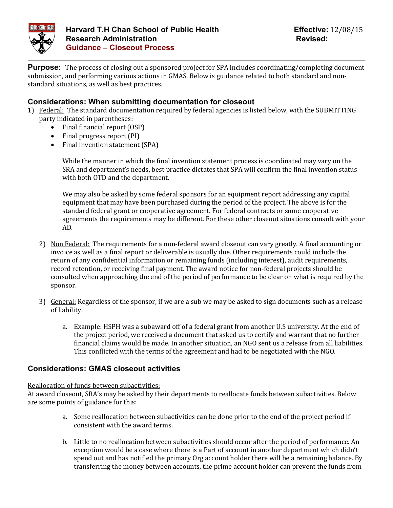

**Purpose:** The process of closing out a sponsored project for SPA includes coordinating/completing document submission, and performing various actions in GMAS. Below is guidance related to both standard and nonstandard situations, as well as best practices.

## **Considerations: When submitting documentation for closeout**

- 1) Federal: The standard documentation required by federal agencies is listed below, with the SUBMITTING party indicated in parentheses:
	- Final financial report (OSP)
	- Final progress report (PI)
	- Final invention statement (SPA)

While the manner in which the final invention statement process is coordinated may vary on the SRA and department's needs, best practice dictates that SPA will confirm the final invention status with both OTD and the department.

We may also be asked by some federal sponsors for an equipment report addressing any capital equipment that may have been purchased during the period of the project. The above is for the standard federal grant or cooperative agreement. For federal contracts or some cooperative agreements the requirements may be different. For these other closeout situations consult with your AD.

- 2) Non Federal: The requirements for a non-federal award closeout can vary greatly. A final accounting or invoice as well as a final report or deliverable is usually due. Other requirements could include the return of any confidential information or remaining funds (including interest), audit requirements, record retention, or receiving final payment. The award notice for non-federal projects should be consulted when approaching the end of the period of performance to be clear on what is required by the sponsor.
- 3) General: Regardless of the sponsor, if we are a sub we may be asked to sign documents such as a release of liability.
	- a. Example: HSPH was a subaward off of a federal grant from another U.S university. At the end of the project period, we received a document that asked us to certify and warrant that no further financial claims would be made. In another situation, an NGO sent us a release from all liabilities. This conflicted with the terms of the agreement and had to be negotiated with the NGO.

# **Considerations: GMAS closeout activities**

#### Reallocation of funds between subactivities:

At award closeout, SRA's may be asked by their departments to reallocate funds between subactivities. Below are some points of guidance for this:

- a. Some reallocation between subactivities can be done prior to the end of the project period if consistent with the award terms.
- b. Little to no reallocation between subactivities should occur after the period of performance. An exception would be a case where there is a Part of account in another department which didn't spend out and has notified the primary Org account holder there will be a remaining balance. By transferring the money between accounts, the prime account holder can prevent the funds from